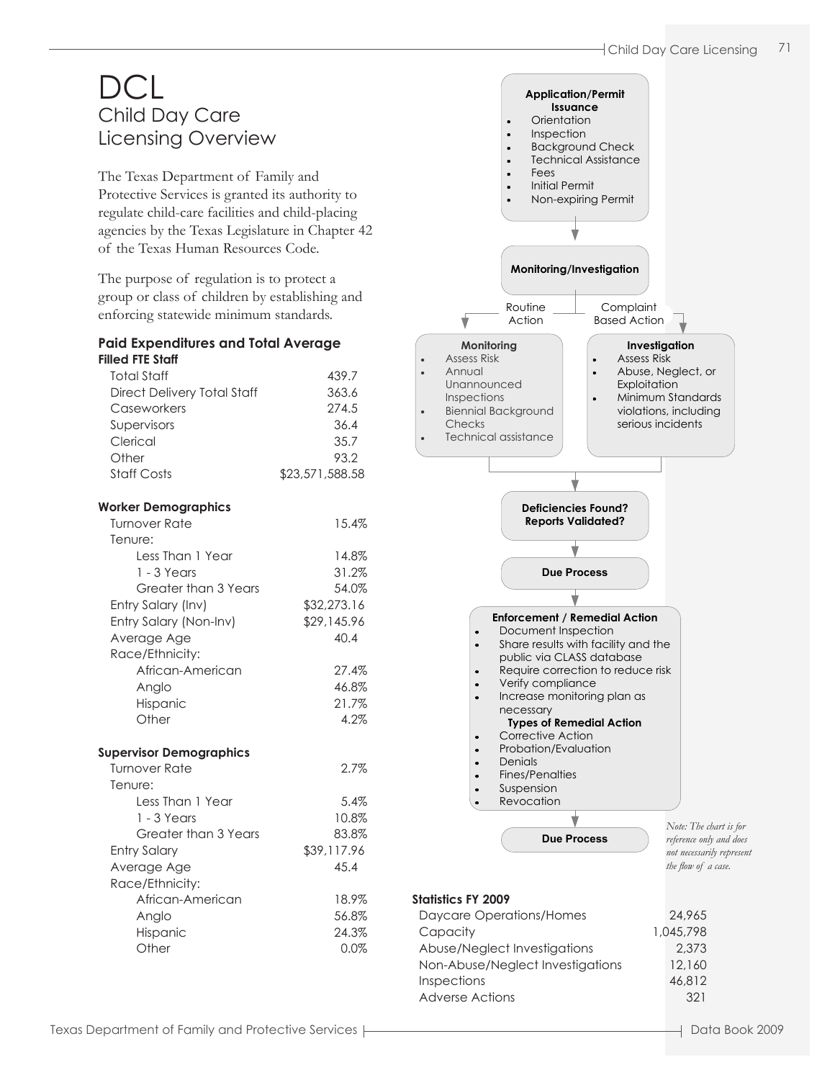# $D$ Cl Child Day Care Licensing Overview

The Texas Department of Family and Protective Services is granted its authority to regulate child-care facilities and child-placing agencies by the Texas Legislature in Chapter 42 of the Texas Human Resources Code.

The purpose of regulation is to protect a group or class of children by establishing and enforcing statewide minimum standards.

#### **Paid Expenditures and Total Average Filled FTE Staff**

| гшеа гіс зіап                  |                 |
|--------------------------------|-----------------|
| <b>Total Staff</b>             | 439.7           |
| Direct Delivery Total Staff    | 363.6           |
| Caseworkers                    | 274.5           |
| Supervisors                    | 36.4            |
| Clerical                       | 35.7            |
| Other                          | 93.2            |
| <b>Staff Costs</b>             | \$23,571,588.58 |
|                                |                 |
| <b>Worker Demographics</b>     |                 |
| <b>Turnover Rate</b>           | 15.4%           |
| Tenure:                        |                 |
| Less Than 1 Year               | 14.8%           |
| 1 - 3 Years                    | 31.2%           |
| Greater than 3 Years           | 54.0%           |
| Entry Salary (Inv)             | \$32,273.16     |
| Entry Salary (Non-Inv)         | \$29,145.96     |
| Average Age                    | 40.4            |
|                                |                 |
| Race/Ethnicity:                |                 |
| African-American               | 27.4%           |
| Anglo                          | 46.8%           |
| Hispanic                       | 21.7%           |
| Other                          | 4.2%            |
| <b>Supervisor Demographics</b> |                 |
| <b>Turnover Rate</b>           | 2.7%            |
| Tenure:                        |                 |
| Less Than 1 Year               | 5.4%            |
| $1 - 3$ Years                  | 10.8%           |
|                                |                 |
| Greater than 3 Years           | 83.8%           |
| <b>Entry Salary</b>            | \$39,117.96     |
| Average Age                    | 45.4            |
| Race/Ethnicity:                |                 |
| African-American               | 18.9%           |
| Anglo                          | 56.8%           |
| Hispanic                       | 24.3%           |
| Other                          | 0.0%            |
|                                |                 |
|                                |                 |
|                                |                 |

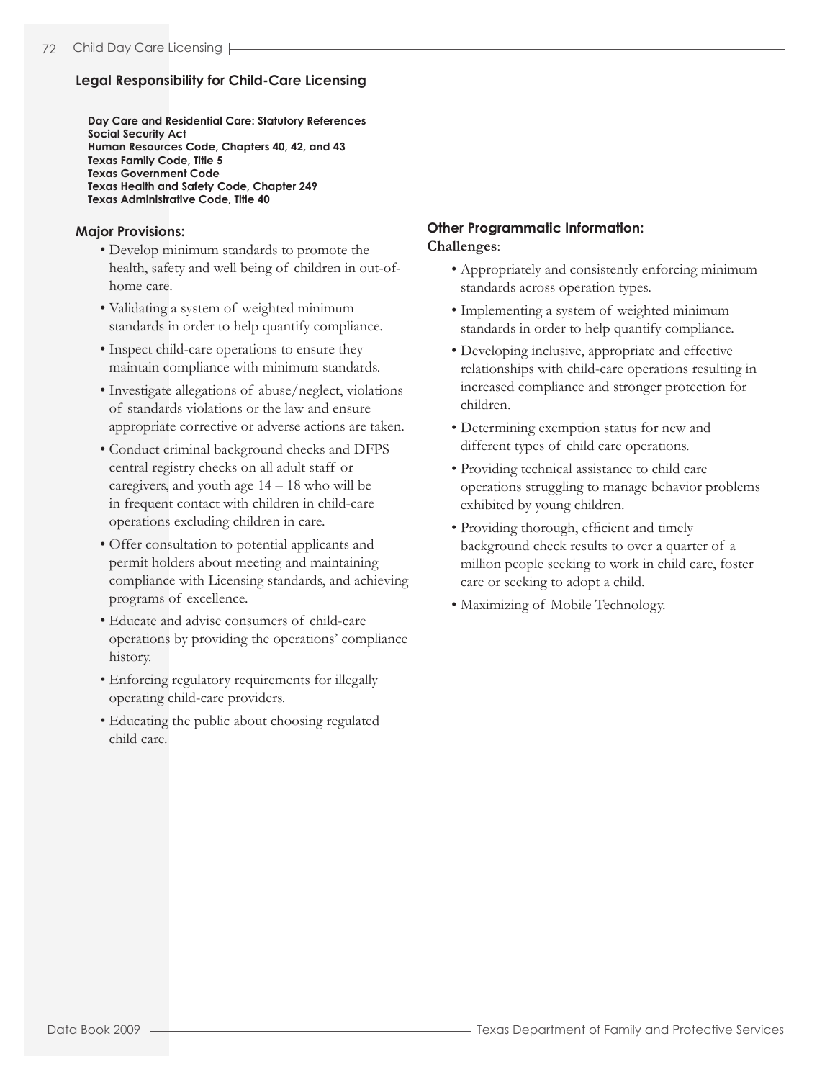## **Legal Responsibility for Child-Care Licensing**

**Day Care and Residential Care: Statutory References Social Security Act Human Resources Code, Chapters 40, 42, and 43 Texas Family Code, Title 5 Texas Government Code Texas Health and Safety Code, Chapter 249 Texas Administrative Code, Title 40**

### **Major Provisions:**

- Develop minimum standards to promote the health, safety and well being of children in out-ofhome care.
- Validating a system of weighted minimum standards in order to help quantify compliance.
- Inspect child-care operations to ensure they maintain compliance with minimum standards.
- Investigate allegations of abuse/neglect, violations of standards violations or the law and ensure appropriate corrective or adverse actions are taken.
- Conduct criminal background checks and DFPS central registry checks on all adult staff or caregivers, and youth age 14 – 18 who will be in frequent contact with children in child-care operations excluding children in care.
- Offer consultation to potential applicants and permit holders about meeting and maintaining compliance with Licensing standards, and achieving programs of excellence.
- Educate and advise consumers of child-care operations by providing the operations' compliance history.
- Enforcing regulatory requirements for illegally operating child-care providers.
- Educating the public about choosing regulated child care.

## **Other Programmatic Information: Challenges**:

- Appropriately and consistently enforcing minimum standards across operation types.
- Implementing a system of weighted minimum standards in order to help quantify compliance.
- Developing inclusive, appropriate and effective relationships with child-care operations resulting in increased compliance and stronger protection for children.
- Determining exemption status for new and different types of child care operations.
- Providing technical assistance to child care operations struggling to manage behavior problems exhibited by young children.
- Providing thorough, efficient and timely background check results to over a quarter of a million people seeking to work in child care, foster care or seeking to adopt a child.
- Maximizing of Mobile Technology.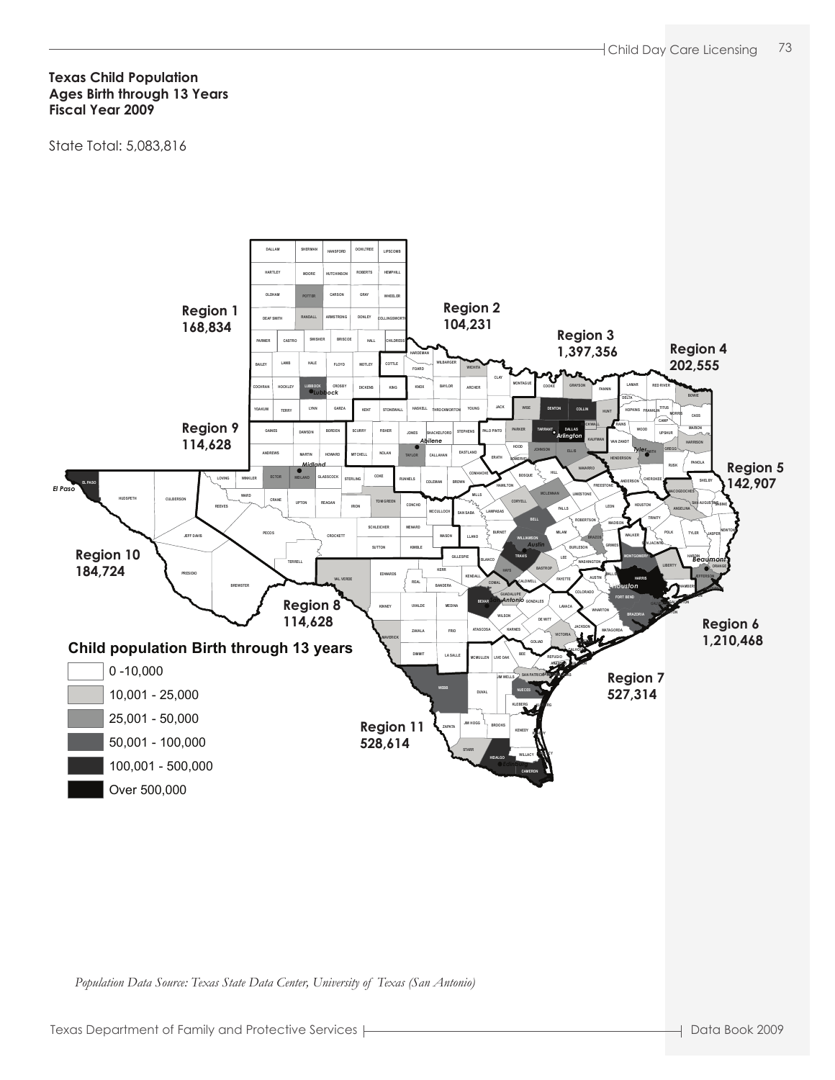#### **Texas Child Population Ages Birth through 13 Years Fiscal Year 2009**

State Total: 5,083,816



*Population Data Source: Texas State Data Center, University of Texas (San Antonio)*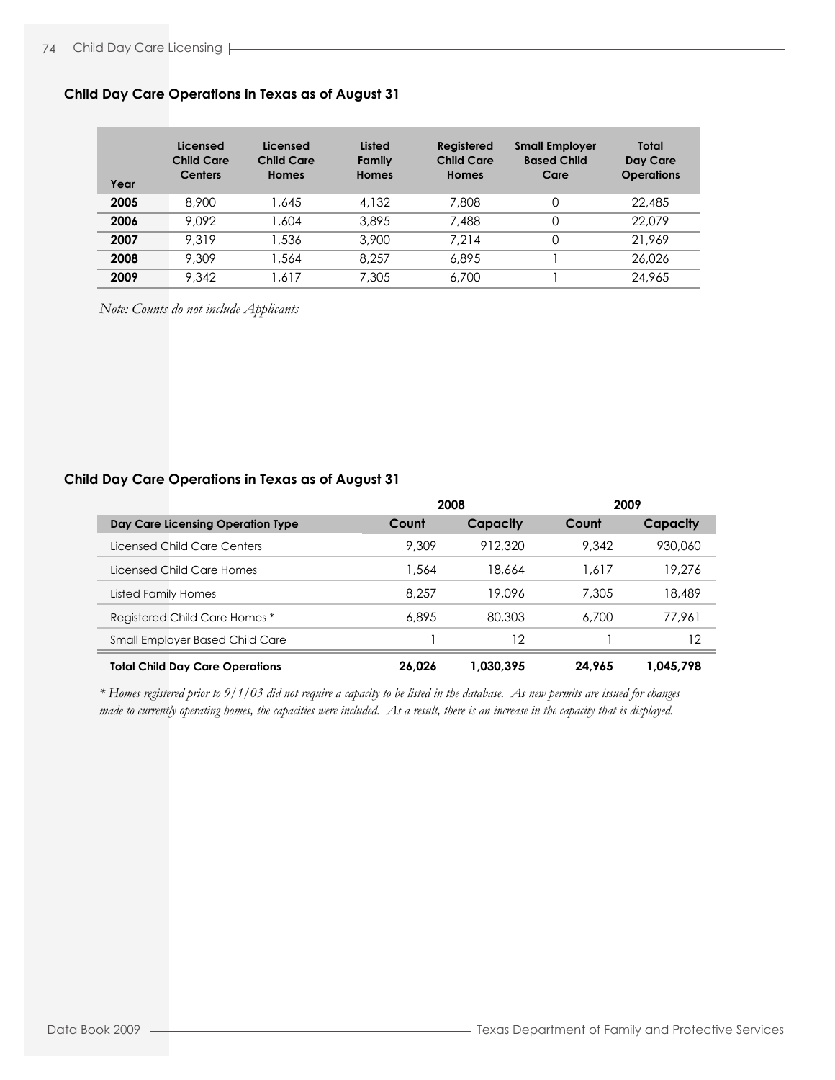| Year | Licensed<br><b>Child Care</b><br><b>Centers</b> | Licensed<br>Child Care<br>Homes | Listed<br>Family<br><b>Homes</b> | Registered<br>Child Care<br>Homes | <b>Small Employer</b><br><b>Based Child</b><br>Care | Total<br>Day Care<br><b>Operations</b> |
|------|-------------------------------------------------|---------------------------------|----------------------------------|-----------------------------------|-----------------------------------------------------|----------------------------------------|
| 2005 | 8.900                                           | 1.645                           | 4.132                            | 7,808                             | 0                                                   | 22,485                                 |
| 2006 | 9.092                                           | .604                            | 3,895                            | 7,488                             | 0                                                   | 22,079                                 |
| 2007 | 9.319                                           | 1,536                           | 3,900                            | 7.214                             |                                                     | 21.969                                 |
| 2008 | 9.309                                           | .564                            | 8.257                            | 6,895                             |                                                     | 26.026                                 |
| 2009 | 9.342                                           | .617                            | 7,305                            | 6,700                             |                                                     | 24,965                                 |

#### **Child Day Care Operations in Texas as of August 31**

*Note: Counts do not include Applicants*

#### **Child Day Care Operations in Texas as of August 31**

|                                        | 2008   |           | 2009   |           |
|----------------------------------------|--------|-----------|--------|-----------|
| Day Care Licensing Operation Type      | Count  | Capacity  | Count  | Capacity  |
| Licensed Child Care Centers            | 9,309  | 912.320   | 9.342  | 930,060   |
| Licensed Child Care Homes              | 1,564  | 18.664    | 1.617  | 19,276    |
| Listed Family Homes                    | 8.257  | 19.096    | 7,305  | 18,489    |
| Registered Child Care Homes*           | 6,895  | 80,303    | 6.700  | 77.961    |
| Small Employer Based Child Care        |        | 12        |        | 12        |
| <b>Total Child Day Care Operations</b> | 26.026 | 1.030.395 | 24.965 | 1.045.798 |

*made to currently operating homes, the capacities were included. As a result, there is an increase in the capacity that is displayed. \* Homes registered prior to 9/1/03 did not require a capacity to be listed in the database. As new permits are issued for changes*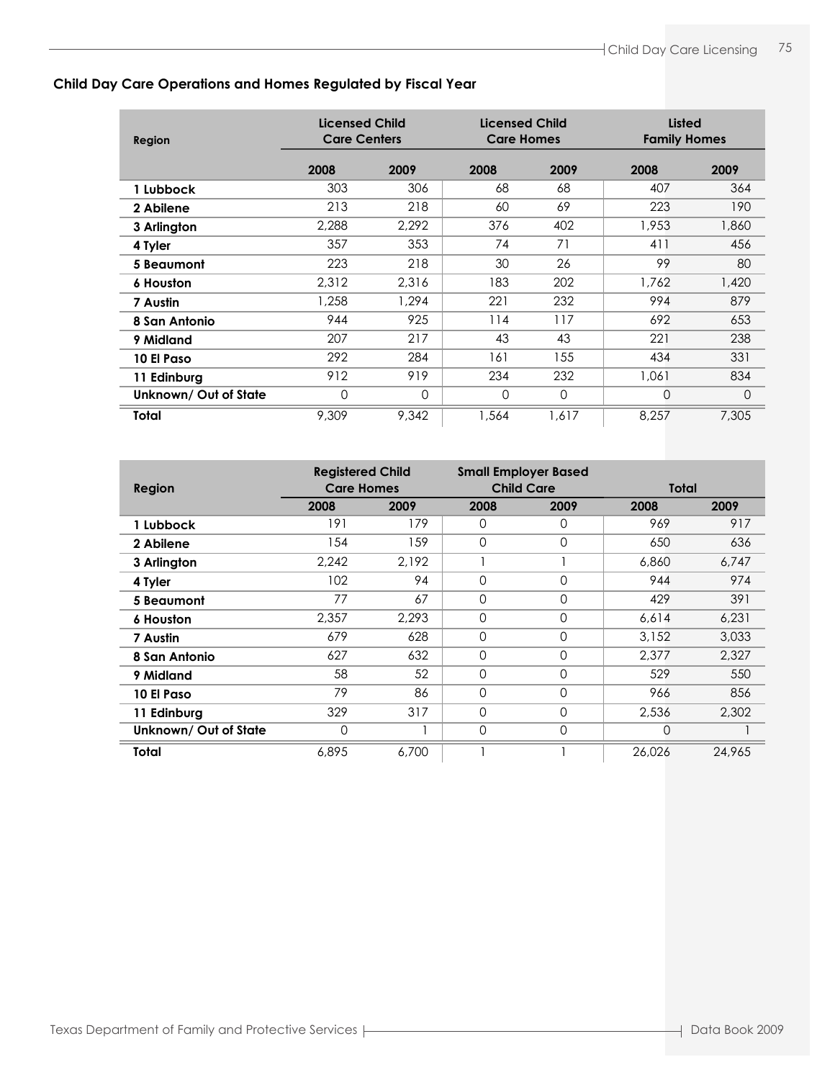## **Child Day Care Operations and Homes Regulated by Fiscal Year**

| Region               | <b>Licensed Child</b><br><b>Licensed Child</b><br><b>Care Centers</b><br><b>Care Homes</b> |          | <b>Listed</b><br><b>Family Homes</b> |          |       |               |
|----------------------|--------------------------------------------------------------------------------------------|----------|--------------------------------------|----------|-------|---------------|
|                      | 2008                                                                                       | 2009     | 2008                                 | 2009     | 2008  | 2009          |
| 1 Lubbock            | 303                                                                                        | 306      | 68                                   | 68       | 407   | 364           |
| 2 Abilene            | 213                                                                                        | 218      | 60                                   | 69       | 223   | 190           |
| 3 Arlington          | 2,288                                                                                      | 2,292    | 376                                  | 402      | 1,953 | 1,860         |
| 4 Tyler              | 357                                                                                        | 353      | 74                                   | 71       | 411   | 456           |
| 5 Beaumont           | 223                                                                                        | 218      | 30                                   | 26       | 99    | 80            |
| <b>6 Houston</b>     | 2,312                                                                                      | 2.316    | 183                                  | 202      | 1,762 | 1,420         |
| 7 Austin             | 1,258                                                                                      | 1.294    | 221                                  | 232      | 994   | 879           |
| 8 San Antonio        | 944                                                                                        | 925      | 114                                  | 117      | 692   | 653           |
| 9 Midland            | 207                                                                                        | 217      | 43                                   | 43       | 221   | 238           |
| 10 El Paso           | 292                                                                                        | 284      | 161                                  | 155      | 434   | 331           |
| 11 Edinburg          | 912                                                                                        | 919      | 234                                  | 232      | 1,061 | 834           |
| Unknown/Out of State | 0                                                                                          | $\Omega$ | 0                                    | $\Omega$ | 0     | $\mathcal{O}$ |
| Total                | 9,309                                                                                      | 9,342    | 1,564                                | 1.617    | 8,257 | 7,305         |

|                       | <b>Registered Child</b> |       |                | <b>Small Employer Based</b> |        |        |
|-----------------------|-------------------------|-------|----------------|-----------------------------|--------|--------|
| <b>Region</b>         | <b>Care Homes</b>       |       |                | <b>Child Care</b>           |        | Total  |
|                       | 2008                    | 2009  | 2008           | 2009                        | 2008   | 2009   |
| 1 Lubbock             | 191                     | 179   | 0              | O                           | 969    | 917    |
| 2 Abilene             | 154                     | 159   | 0              | $\Omega$                    | 650    | 636    |
| 3 Arlington           | 2,242                   | 2,192 |                |                             | 6,860  | 6,747  |
| 4 Tyler               | 102                     | 94    | 0              | 0                           | 944    | 974    |
| 5 Beaumont            | 77                      | 67    | 0              | $\Omega$                    | 429    | 391    |
| <b>6 Houston</b>      | 2,357                   | 2.293 | 0              | $\Omega$                    | 6,614  | 6,231  |
| 7 Austin              | 679                     | 628   | $\overline{0}$ | $\Omega$                    | 3,152  | 3,033  |
| 8 San Antonio         | 627                     | 632   | 0              | $\Omega$                    | 2.377  | 2,327  |
| 9 Midland             | 58                      | 52    | $\Omega$       | $\Omega$                    | 529    | 550    |
| 10 El Paso            | 79                      | 86    | 0              | $\Omega$                    | 966    | 856    |
| 11 Edinburg           | 329                     | 317   | 0              | $\Omega$                    | 2,536  | 2,302  |
| Unknown/ Out of State | 0                       |       | 0              | 0                           | 0      |        |
| <b>Total</b>          | 6.895                   | 6.700 |                |                             | 26,026 | 24.965 |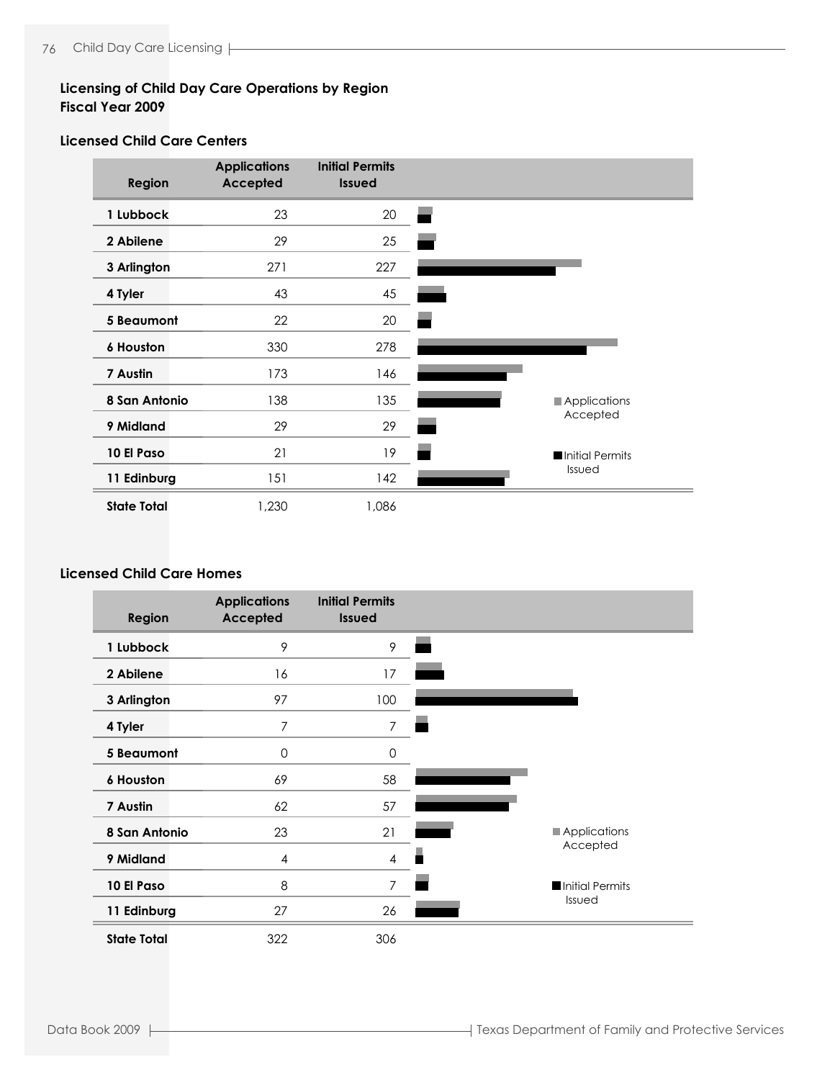## **Licensing of Child Day Care Operations by Region Fiscal Year 2009**

## **Licensed Child Care Centers**

| <b>Region</b>      | <b>Applications</b><br><b>Accepted</b> | <b>Initial Permits</b><br><b>Issued</b> |                 |
|--------------------|----------------------------------------|-----------------------------------------|-----------------|
| 1 Lubbock          | 23                                     | 20                                      |                 |
| 2 Abilene          | 29                                     | 25                                      |                 |
| 3 Arlington        | 271                                    | 227                                     |                 |
| 4 Tyler            | 43                                     | 45                                      |                 |
| <b>5 Beaumont</b>  | 22                                     | 20                                      |                 |
| 6 Houston          | 330                                    | 278                                     |                 |
| 7 Austin           | 173                                    | 146                                     |                 |
| 8 San Antonio      | 138                                    | 135                                     | Applications    |
| 9 Midland          | 29                                     | 29                                      | Accepted        |
| 10 El Paso         | 21                                     | 19                                      | Initial Permits |
| 11 Edinburg        | 151                                    | 142                                     | Issued          |
| <b>State Total</b> | 1,230                                  | 1,086                                   |                 |

## **Licensed Child Care Homes**

| <b>Region</b>      | <b>Applications</b><br><b>Accepted</b> | <b>Initial Permits</b><br><b>Issued</b> |                     |
|--------------------|----------------------------------------|-----------------------------------------|---------------------|
| 1 Lubbock          | 9                                      | 9                                       |                     |
| 2 Abilene          | 16                                     | 17                                      |                     |
| 3 Arlington        | 97                                     | 100                                     |                     |
| 4 Tyler            | 7                                      | $\overline{7}$                          |                     |
| <b>5 Beaumont</b>  | 0                                      | 0                                       |                     |
| <b>6 Houston</b>   | 69                                     | 58                                      |                     |
| 7 Austin           | 62                                     | 57                                      |                     |
| 8 San Antonio      | 23                                     | 21                                      | <b>Applications</b> |
| 9 Midland          | 4                                      | $\overline{4}$                          | Accepted            |
| 10 El Paso         | 8                                      | $\overline{7}$                          | Initial Permits     |
| 11 Edinburg        | 27                                     | 26                                      | Issued              |
| <b>State Total</b> | 322                                    | 306                                     |                     |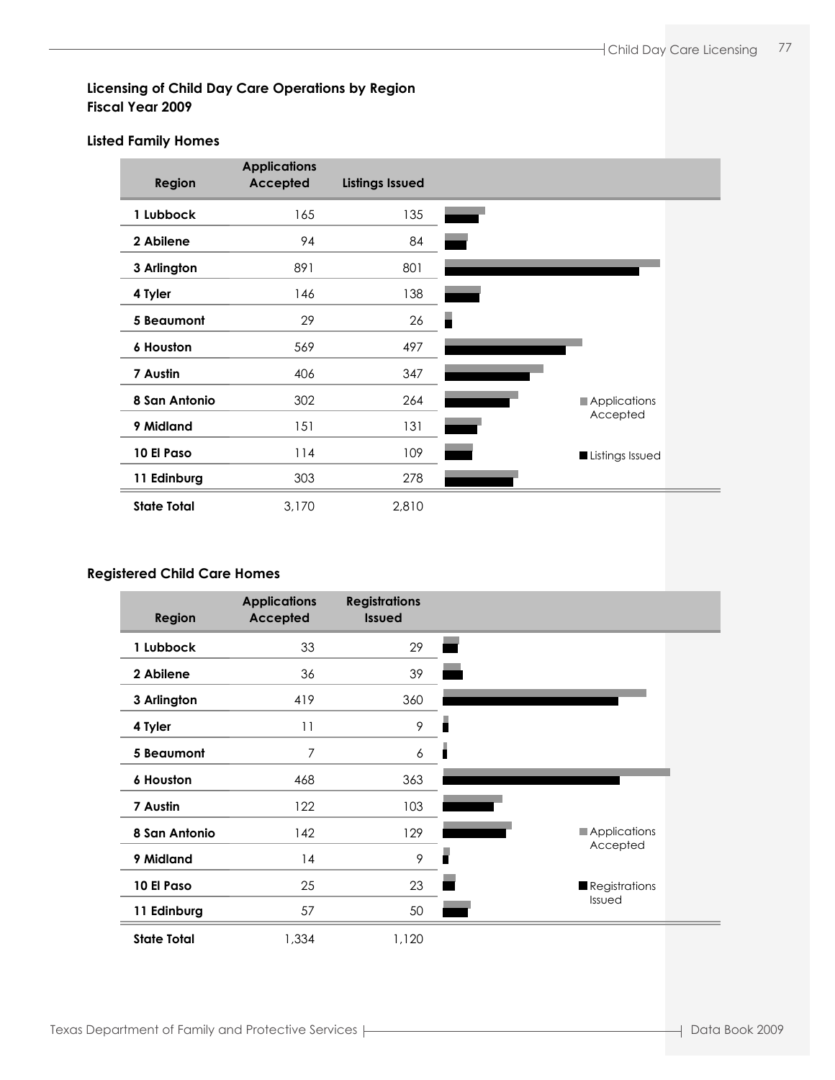## **Licensing of Child Day Care Operations by Region Fiscal Year 2009**

### **Listed Family Homes**

| Region             | <b>Applications</b><br>Accepted | <b>Listings Issued</b> |                 |
|--------------------|---------------------------------|------------------------|-----------------|
| 1 Lubbock          | 165                             | 135                    |                 |
| 2 Abilene          | 94                              | 84                     |                 |
| 3 Arlington        | 891                             | 801                    |                 |
| 4 Tyler            | 146                             | 138                    |                 |
| <b>5 Beaumont</b>  | 29                              | 26                     |                 |
| <b>6 Houston</b>   | 569                             | 497                    |                 |
| 7 Austin           | 406                             | 347                    |                 |
| 8 San Antonio      | 302                             | 264                    | Applications    |
| 9 Midland          | 151                             | 131                    | Accepted        |
| 10 El Paso         | 114                             | 109                    | Listings Issued |
| 11 Edinburg        | 303                             | 278                    |                 |
| <b>State Total</b> | 3,170                           | 2,810                  |                 |

### **Registered Child Care Homes**

| Region             | <b>Applications</b><br><b>Accepted</b> | <b>Registrations</b><br><b>Issued</b> |                     |
|--------------------|----------------------------------------|---------------------------------------|---------------------|
| 1 Lubbock          | 33                                     | 29                                    |                     |
| 2 Abilene          | 36                                     | 39                                    |                     |
| 3 Arlington        | 419                                    | 360                                   |                     |
| 4 Tyler            | 11                                     | 9                                     | п                   |
| 5 Beaumont         | 7                                      | $\boldsymbol{6}$                      |                     |
| <b>6 Houston</b>   | 468                                    | 363                                   |                     |
| 7 Austin           | 122                                    | 103                                   |                     |
| 8 San Antonio      | 142                                    | 129                                   | <b>Applications</b> |
| 9 Midland          | 4                                      | 9                                     | Accepted<br>п       |
| 10 El Paso         | 25                                     | 23                                    | Registrations       |
| 11 Edinburg        | 57                                     | 50                                    | Issued              |
| <b>State Total</b> | 1,334                                  | 1,120                                 |                     |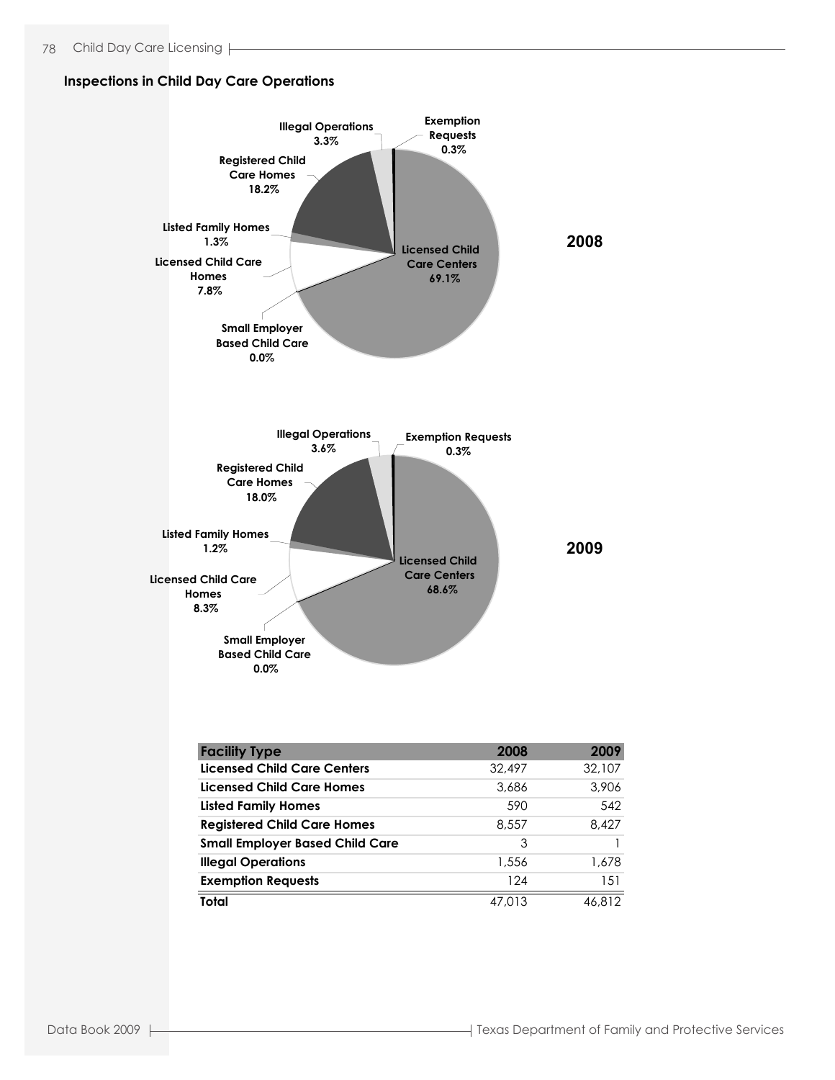#### **Inspections in Child Day Care Operations**



**Total** 47,013 46,812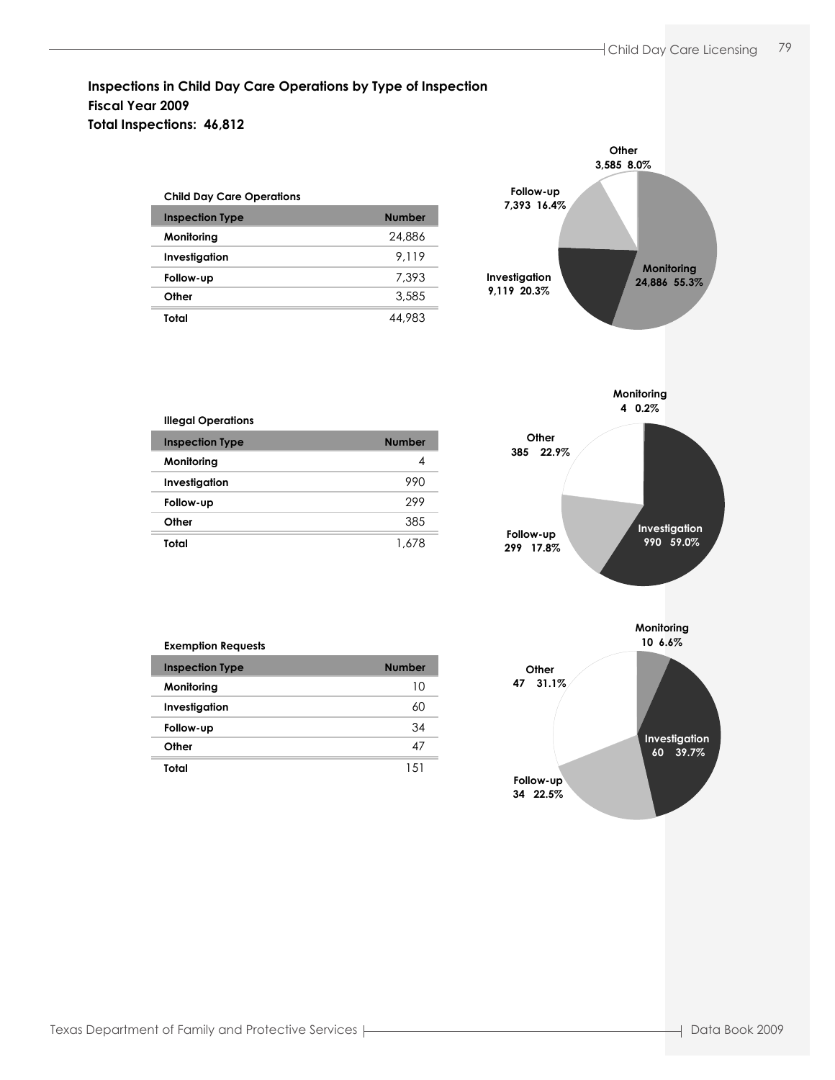## **Inspections in Child Day Care Operations by Type of Inspection Fiscal Year 2009 Total Inspections: 46,812**

| <b>Child Day Care Operations</b> |               |  |  |  |
|----------------------------------|---------------|--|--|--|
| <b>Inspection Type</b>           | <b>Number</b> |  |  |  |
| Monitoring                       | 24,886        |  |  |  |
| Investigation                    | 9.119         |  |  |  |
| Follow-up                        | 7.393         |  |  |  |
| Other                            | 3.585         |  |  |  |
| Total                            | 44.983        |  |  |  |





# **Inspection Type Number** Number

**Illegal Operations**

| Monitoring    |       |
|---------------|-------|
| Investigation | 990   |
| Follow-up     | 299   |
| Other         | 385   |
| Total         | 1 678 |

| <b>Exemption Requests</b> |               |
|---------------------------|---------------|
| <b>Inspection Type</b>    | <b>Number</b> |
| Monitoring                | 10            |
| Investigation             | 60            |
| Follow-up                 | 34            |
| Other                     | 47            |
| Total                     | 15            |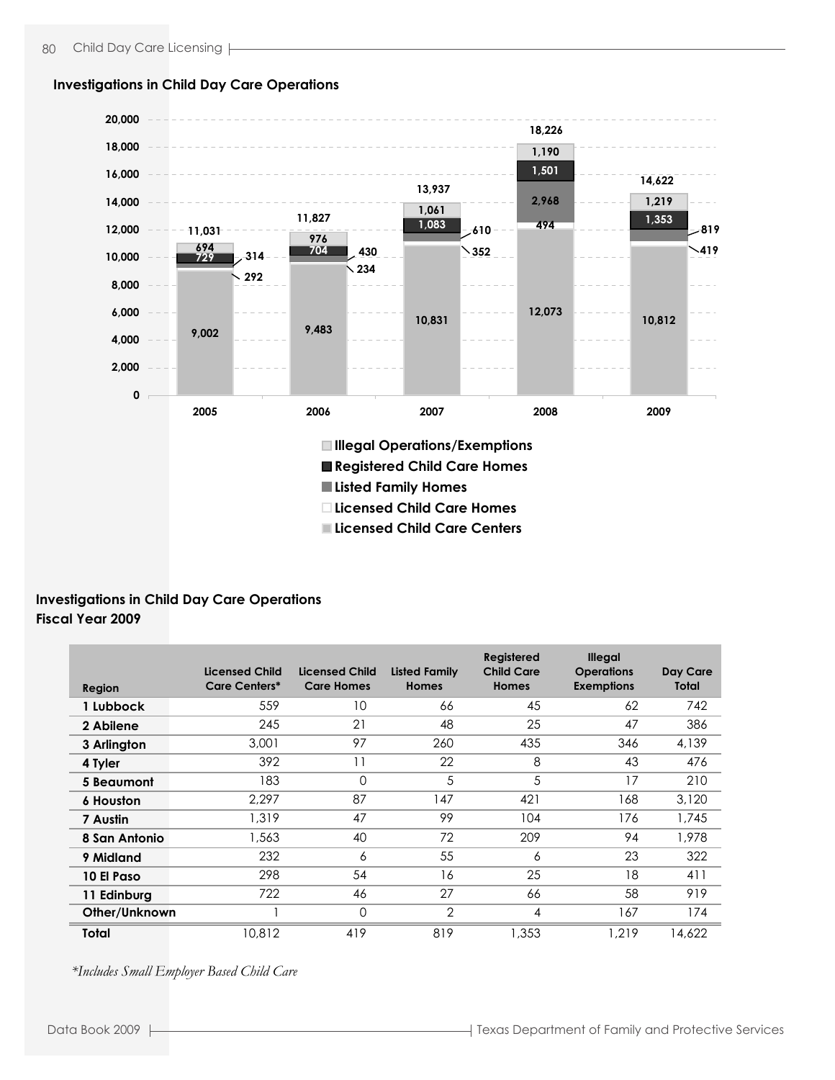

#### **Investigations in Child Day Care Operations**

## **Investigations in Child Day Care Operations Fiscal Year 2009**

| Region           | <b>Licensed Child</b><br><b>Care Centers*</b> | Licensed Child<br><b>Care Homes</b> | <b>Listed Family</b><br><b>Homes</b> | Registered<br><b>Child Care</b><br><b>Homes</b> | <b>Illegal</b><br><b>Operations</b><br><b>Exemptions</b> | Day Care<br>Total |
|------------------|-----------------------------------------------|-------------------------------------|--------------------------------------|-------------------------------------------------|----------------------------------------------------------|-------------------|
| 1 Lubbock        | 559                                           | 10                                  | 66                                   | 45                                              | 62                                                       | 742               |
| 2 Abilene        | 245                                           | 21                                  | 48                                   | 25                                              | 47                                                       | 386               |
| 3 Arlington      | 3,001                                         | 97                                  | 260                                  | 435                                             | 346                                                      | 4,139             |
| 4 Tyler          | 392                                           | 11                                  | 22                                   | 8                                               | 43                                                       | 476               |
| 5 Beaumont       | 183                                           | $\Omega$                            | 5                                    | 5                                               | 17                                                       | 210               |
| <b>6 Houston</b> | 2.297                                         | 87                                  | 147                                  | 421                                             | 168                                                      | 3,120             |
| 7 Austin         | 1,319                                         | 47                                  | 99                                   | 104                                             | 176                                                      | 1,745             |
| 8 San Antonio    | 1,563                                         | 40                                  | 72                                   | 209                                             | 94                                                       | 1.978             |
| 9 Midland        | 232                                           | 6                                   | 55                                   | 6                                               | 23                                                       | 322               |
| 10 El Paso       | 298                                           | 54                                  | 16                                   | 25                                              | 18                                                       | 411               |
| 11 Edinburg      | 722                                           | 46                                  | 27                                   | 66                                              | 58                                                       | 919               |
| Other/Unknown    |                                               | $\Omega$                            | $\overline{2}$                       | 4                                               | 167                                                      | 174               |
| Total            | 10,812                                        | 419                                 | 819                                  | 1.353                                           | 1.219                                                    | 14,622            |

*\*Includes Small Employer Based Child Care*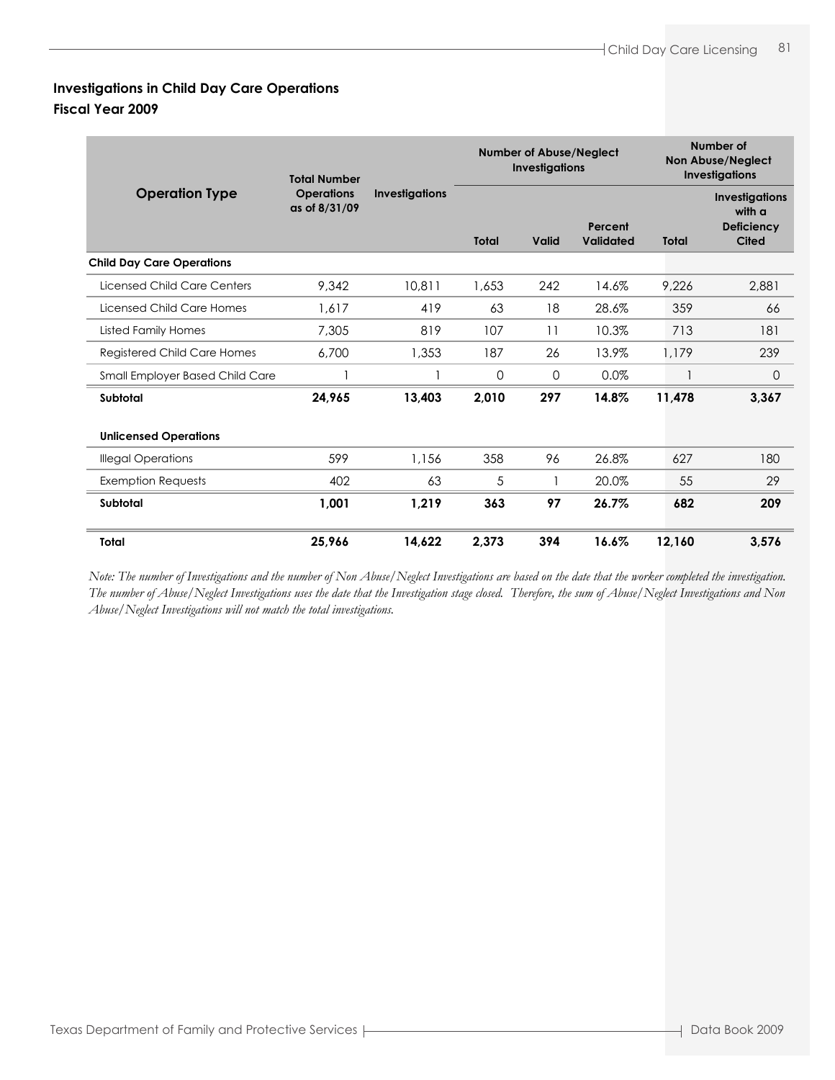# **Investigations in Child Day Care Operations Fiscal Year 2009**

|                                    | <b>Total Number</b>                |                       | <b>Number of Abuse/Neglect</b><br><b>Investigations</b> |              |                      |              | Number of<br>Non Abuse/Neglect<br><b>Investigations</b>              |
|------------------------------------|------------------------------------|-----------------------|---------------------------------------------------------|--------------|----------------------|--------------|----------------------------------------------------------------------|
| <b>Operation Type</b>              | <b>Operations</b><br>as of 8/31/09 | <b>Investigations</b> | <b>Total</b>                                            | <b>Valid</b> | Percent<br>Validated | <b>Total</b> | <b>Investigations</b><br>with a<br><b>Deficiency</b><br><b>Cited</b> |
| <b>Child Day Care Operations</b>   |                                    |                       |                                                         |              |                      |              |                                                                      |
| Licensed Child Care Centers        | 9.342                              | 10,811                | 1,653                                                   | 242          | 14.6%                | 9,226        | 2.881                                                                |
| Licensed Child Care Homes          | 1.617                              | 419                   | 63                                                      | 18           | 28.6%                | 359          | 66                                                                   |
| <b>Listed Family Homes</b>         | 7,305                              | 819                   | 107                                                     | 11           | 10.3%                | 713          | 181                                                                  |
| <b>Registered Child Care Homes</b> | 6,700                              | 1,353                 | 187                                                     | 26           | 13.9%                | 1.179        | 239                                                                  |
| Small Employer Based Child Care    |                                    |                       | 0                                                       | 0            | $0.0\%$              |              | 0                                                                    |
| Subtotal                           | 24,965                             | 13.403                | 2,010                                                   | 297          | 14.8%                | 11,478       | 3.367                                                                |
| <b>Unlicensed Operations</b>       |                                    |                       |                                                         |              |                      |              |                                                                      |
| <b>Illegal Operations</b>          | 599                                | 1,156                 | 358                                                     | 96           | 26.8%                | 627          | 180                                                                  |
| <b>Exemption Requests</b>          | 402                                | 63                    | 5                                                       |              | 20.0%                | 55           | 29                                                                   |
| Subtotal                           | 1,001                              | 1,219                 | 363                                                     | 97           | 26.7%                | 682          | 209                                                                  |
| Total                              | 25,966                             | 14,622                | 2,373                                                   | 394          | 16.6%                | 12,160       | 3.576                                                                |

*Note: The number of Investigations and the number of Non Abuse/Neglect Investigations are based on the date that the worker completed the investigation. The number of Abuse/Neglect Investigations uses the date that the Investigation stage closed. Therefore, the sum of Abuse/Neglect Investigations and Non Abuse/Neglect Investigations will not match the total investigations.*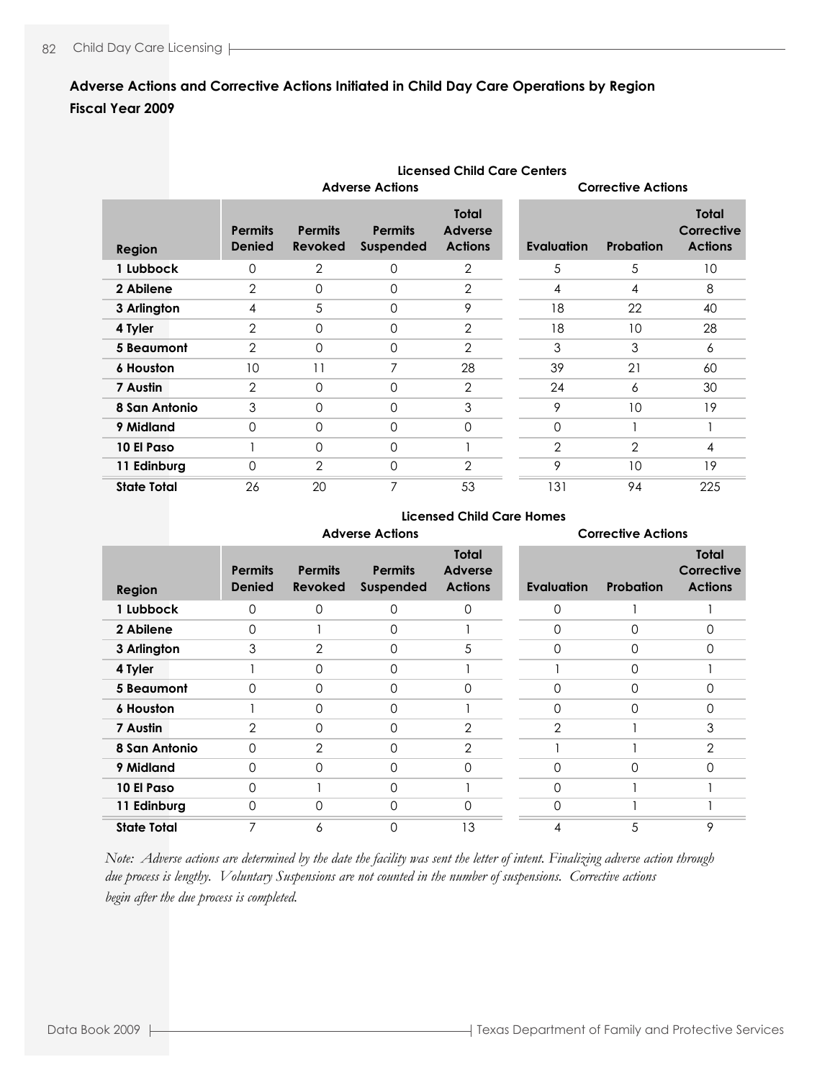## **Adverse Actions and Corrective Actions Initiated in Child Day Care Operations by Region Fiscal Year 2009**

|                    |                                 | Licensed Child Care Centers      |                             |                                           |  |                           |                |                                              |  |  |
|--------------------|---------------------------------|----------------------------------|-----------------------------|-------------------------------------------|--|---------------------------|----------------|----------------------------------------------|--|--|
|                    |                                 |                                  | <b>Adverse Actions</b>      |                                           |  | <b>Corrective Actions</b> |                |                                              |  |  |
| <b>Region</b>      | <b>Permits</b><br><b>Denied</b> | <b>Permits</b><br><b>Revoked</b> | <b>Permits</b><br>Suspended | <b>Total</b><br>Adverse<br><b>Actions</b> |  | <b>Evaluation</b>         | Probation      | <b>Total</b><br>Corrective<br><b>Actions</b> |  |  |
| 1 Lubbock          | $\Omega$                        | 2                                | 0                           | $\overline{2}$                            |  | 5                         | 5              | 10                                           |  |  |
| 2 Abilene          | $\overline{2}$                  | $\Omega$                         | $\Omega$                    | $\overline{2}$                            |  | 4                         | 4              | 8                                            |  |  |
| 3 Arlington        | 4                               | 5                                | 0                           | 9                                         |  | 18                        | 22             | 40                                           |  |  |
| 4 Tyler            | 2                               | $\Omega$                         | $\Omega$                    | $\overline{2}$                            |  | 18                        | 10             | 28                                           |  |  |
| 5 Beaumont         | 2                               | $\Omega$                         | $\Omega$                    | $\overline{2}$                            |  | 3                         | 3              | 6                                            |  |  |
| <b>6 Houston</b>   | 10                              | 11                               | 7                           | 28                                        |  | 39                        | 21             | 60                                           |  |  |
| 7 Austin           | $\overline{2}$                  | $\Omega$                         | 0                           | $\overline{2}$                            |  | 24                        | 6              | 30                                           |  |  |
| 8 San Antonio      | 3                               | $\Omega$                         | 0                           | 3                                         |  | 9                         | 10             | 19                                           |  |  |
| 9 Midland          | $\Omega$                        | $\Omega$                         | $\Omega$                    | 0                                         |  | $\Omega$                  |                |                                              |  |  |
| 10 El Paso         |                                 | $\Omega$                         | $\Omega$                    |                                           |  | $\overline{2}$            | $\overline{2}$ | 4                                            |  |  |
| 11 Edinburg        | $\Omega$                        | $\overline{2}$                   | 0                           | $\overline{2}$                            |  | 9                         | 10             | 19                                           |  |  |
| <b>State Total</b> | 26                              | 20                               | 7                           | 53                                        |  | 131                       | 94             | 225                                          |  |  |

#### **Licensed Child Care Homes**

|                    | <b>Adverse Actions</b>          |                                  |                                    |                                                  | <b>Corrective Actions</b> |                  |                                              |  |
|--------------------|---------------------------------|----------------------------------|------------------------------------|--------------------------------------------------|---------------------------|------------------|----------------------------------------------|--|
| <b>Region</b>      | <b>Permits</b><br><b>Denied</b> | <b>Permits</b><br><b>Revoked</b> | <b>Permits</b><br><b>Suspended</b> | <b>Total</b><br><b>Adverse</b><br><b>Actions</b> | <b>Evaluation</b>         | <b>Probation</b> | <b>Total</b><br>Corrective<br><b>Actions</b> |  |
| 1 Lubbock          | $\Omega$                        | 0                                | $\Omega$                           | $\Omega$                                         | $\Omega$                  |                  |                                              |  |
| 2 Abilene          | 0                               |                                  | 0                                  |                                                  | O                         | 0                | 0                                            |  |
| 3 Arlington        | 3                               | 2                                | $\Omega$                           | 5                                                | $\Omega$                  | $\Omega$         | 0                                            |  |
| 4 Tyler            |                                 | 0                                | $\Omega$                           |                                                  |                           | $\Omega$         |                                              |  |
| 5 Beaumont         | $\Omega$                        | 0                                | $\Omega$                           | 0                                                | O                         | $\Omega$         | 0                                            |  |
| <b>6 Houston</b>   |                                 | 0                                | 0                                  |                                                  | $\Omega$                  | $\Omega$         | 0                                            |  |
| 7 Austin           | $\overline{2}$                  | $\Omega$                         | $\Omega$                           | $\overline{2}$                                   | $\overline{2}$            |                  | 3                                            |  |
| 8 San Antonio      | $\Omega$                        | 2                                | $\Omega$                           | $\overline{2}$                                   |                           |                  | 2                                            |  |
| 9 Midland          | $\Omega$                        | $\Omega$                         | $\Omega$                           | $\Omega$                                         | ∩                         | $\Omega$         | 0                                            |  |
| 10 El Paso         | 0                               |                                  | 0                                  |                                                  | $\Omega$                  |                  |                                              |  |
| 11 Edinburg        | $\Omega$                        | 0                                | $\Omega$                           | $\Omega$                                         | $\Omega$                  |                  |                                              |  |
| <b>State Total</b> | $\overline{7}$                  | 6                                | 0                                  | 13                                               | 4                         | 5                | 9                                            |  |

*Note: Adverse actions are determined by the date the facility was sent the letter of intent. Finalizing adverse action through due process is lengthy. Voluntary Suspensions are not counted in the number of suspensions. Corrective actions begin after the due process is completed.*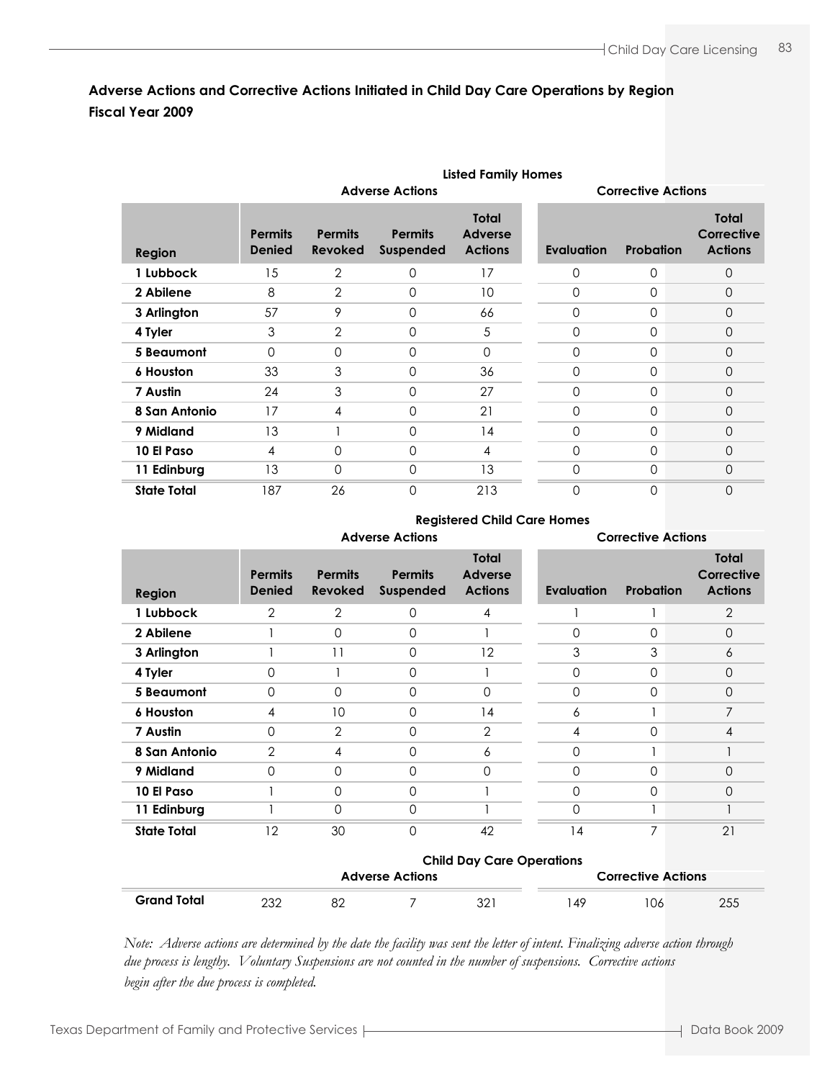## **Adverse Actions and Corrective Actions Initiated in Child Day Care Operations by Region Fiscal Year 2009**

|                    | <b>Listed Family Homes</b>      |                                  |                                    |                                                  |  |                   |                           |                                       |  |  |
|--------------------|---------------------------------|----------------------------------|------------------------------------|--------------------------------------------------|--|-------------------|---------------------------|---------------------------------------|--|--|
|                    |                                 | <b>Adverse Actions</b>           |                                    |                                                  |  |                   | <b>Corrective Actions</b> |                                       |  |  |
| <b>Region</b>      | <b>Permits</b><br><b>Denied</b> | <b>Permits</b><br><b>Revoked</b> | <b>Permits</b><br><b>Suspended</b> | <b>Total</b><br><b>Adverse</b><br><b>Actions</b> |  | <b>Evaluation</b> | Probation                 | Total<br>Corrective<br><b>Actions</b> |  |  |
| 1 Lubbock          | 15                              | 2                                | 0                                  | 17                                               |  | 0                 | 0                         | 0                                     |  |  |
| 2 Abilene          | 8                               | $\overline{2}$                   | $\Omega$                           | 10                                               |  | $\Omega$          | $\Omega$                  | $\Omega$                              |  |  |
| 3 Arlington        | 57                              | 9                                | 0                                  | 66                                               |  | 0                 | 0                         | $\Omega$                              |  |  |
| 4 Tyler            | 3                               | $\overline{2}$                   | $\Omega$                           | 5                                                |  | 0                 | $\Omega$                  | $\Omega$                              |  |  |
| <b>5 Beaumont</b>  | $\Omega$                        | $\Omega$                         | 0                                  | $\mathbf 0$                                      |  | 0                 | 0                         | $\overline{0}$                        |  |  |
| 6 Houston          | 33                              | 3                                | $\mathbf{0}$                       | 36                                               |  | $\Omega$          | $\Omega$                  | $\Omega$                              |  |  |
| 7 Austin           | 24                              | 3                                | $\Omega$                           | 27                                               |  | 0                 | $\Omega$                  | 0                                     |  |  |
| 8 San Antonio      | 17                              | 4                                | $\mathbf{0}$                       | 21                                               |  | 0                 | $\Omega$                  | $\Omega$                              |  |  |
| 9 Midland          | 13                              |                                  | 0                                  | 14                                               |  | 0                 | $\Omega$                  | 0                                     |  |  |
| 10 El Paso         | 4                               | $\Omega$                         | $\Omega$                           | 4                                                |  | $\Omega$          | $\Omega$                  | $\Omega$                              |  |  |
| 11 Edinburg        | 13                              | $\Omega$                         | 0                                  | 13                                               |  | 0                 | 0                         | $\Omega$                              |  |  |
| <b>State Total</b> | 187                             | 26                               | $\Omega$                           | 213                                              |  | 0                 | 0                         | 0                                     |  |  |

#### **Registered Child Care Homes**

|                    | <b>Adverse Actions</b>          |                                  |                             |                                                  | <b>Corrective Actions</b> |             |                                              |  |
|--------------------|---------------------------------|----------------------------------|-----------------------------|--------------------------------------------------|---------------------------|-------------|----------------------------------------------|--|
| Region             | <b>Permits</b><br><b>Denied</b> | <b>Permits</b><br><b>Revoked</b> | <b>Permits</b><br>Suspended | <b>Total</b><br><b>Adverse</b><br><b>Actions</b> | <b>Evaluation</b>         | Probation   | <b>Total</b><br>Corrective<br><b>Actions</b> |  |
| 1 Lubbock          | $\overline{2}$                  | $\overline{2}$                   | $\Omega$                    | 4                                                |                           |             | 2                                            |  |
| 2 Abilene          |                                 | $\Omega$                         | $\Omega$                    |                                                  | $\Omega$                  | $\Omega$    | $\Omega$                                     |  |
| 3 Arlington        |                                 | 11                               | $\Omega$                    | 12                                               | 3                         | 3           | 6                                            |  |
| 4 Tyler            | 0                               |                                  | $\mathbf 0$                 |                                                  | $\Omega$                  | $\mathbf 0$ | 0                                            |  |
| 5 Beaumont         | $\Omega$                        | $\Omega$                         | $\Omega$                    | $\mathbf 0$                                      | $\Omega$                  | $\Omega$    | $\Omega$                                     |  |
| <b>6 Houston</b>   | 4                               | 10                               | $\Omega$                    | 14                                               | 6                         |             | 7                                            |  |
| 7 Austin           | $\Omega$                        | 2                                | $\Omega$                    | 2                                                | 4                         | $\Omega$    | 4                                            |  |
| 8 San Antonio      | $\overline{2}$                  | 4                                | $\Omega$                    | 6                                                | $\Omega$                  |             |                                              |  |
| 9 Midland          | $\Omega$                        | 0                                | $\Omega$                    | 0                                                | $\Omega$                  | $\Omega$    | $\Omega$                                     |  |
| 10 El Paso         |                                 | 0                                | $\Omega$                    |                                                  | $\Omega$                  | $\Omega$    | 0                                            |  |
| 11 Edinburg        |                                 | 0                                | $\Omega$                    |                                                  | $\Omega$                  |             |                                              |  |
| <b>State Total</b> | 12                              | 30                               | $\Omega$                    | 42                                               | 14                        | 7           | 21                                           |  |

|                    | <b>Child Day Care Operations</b> |                        |  |     |                           |     |     |  |
|--------------------|----------------------------------|------------------------|--|-----|---------------------------|-----|-----|--|
|                    |                                  | <b>Adverse Actions</b> |  |     | <b>Corrective Actions</b> |     |     |  |
| <b>Grand Total</b> | 232                              |                        |  | 321 | . 49                      | 106 | 255 |  |

*Note: Adverse actions are determined by the date the facility was sent the letter of intent. Finalizing adverse action through due process is lengthy. Voluntary Suspensions are not counted in the number of suspensions. Corrective actions begin after the due process is completed.*